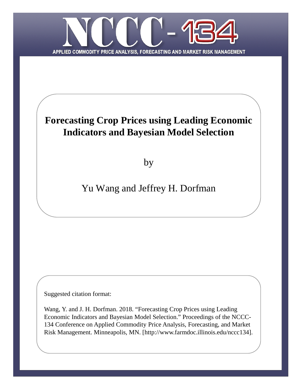

# **Forecasting Crop Prices using Leading Economic Indicators and Bayesian Model Selection**

by

# Yu Wang and Jeffrey H. Dorfman

Suggested citation format:

Wang, Y. and J. H. Dorfman. 2018. "Forecasting Crop Prices using Leading Economic Indicators and Bayesian Model Selection." Proceedings of the NCCC-134 Conference on Applied Commodity Price Analysis, Forecasting, and Market Risk Management. Minneapolis, MN. [http://www.farmdoc.illinois.edu/nccc134].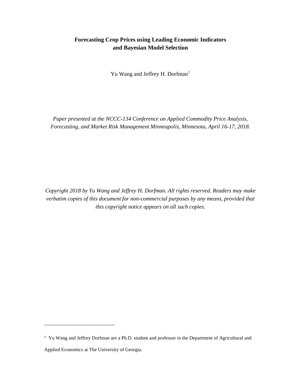## **Forecasting Crop Prices using Leading Economic Indicators and Bayesian Model Selection**

Yu Wang and Jeffrey H. Dorfman<sup>[1](#page-1-0)</sup>

*Paper presented at the NCCC-134 Conference on Applied Commodity Price Analysis, Forecasting, and Market Risk Management Minneapolis, Minnesota, April 16-17, 2018.*

*Copyright 2018 by Yu Wang and Jeffrey H. Dorfman. All rights reserved. Readers may make verbatim copies of this document for non-commercial purposes by any means, provided that this copyright notice appears on all such copies.*

 $\overline{a}$ 

<span id="page-1-0"></span><sup>1</sup> Yu Wang and Jeffrey Dorfman are a Ph.D. student and professor in the Department of Agricultural and Applied Economics at The University of Georgia.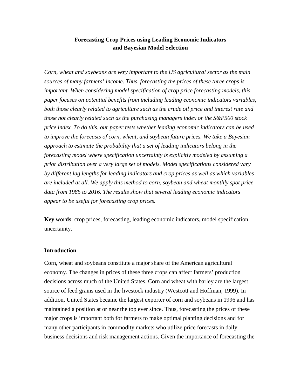### **Forecasting Crop Prices using Leading Economic Indicators and Bayesian Model Selection**

*Corn, wheat and soybeans are very important to the US agricultural sector as the main sources of many farmers' income. Thus, forecasting the prices of these three crops is important. When considering model specification of crop price forecasting models, this paper focuses on potential benefits from including leading economic indicators variables, both those clearly related to agriculture such as the crude oil price and interest rate and those not clearly related such as the purchasing managers index or the S&P500 stock price index. To do this, our paper tests whether leading economic indicators can be used to improve the forecasts of corn, wheat, and soybean future prices. We take a Bayesian approach to estimate the probability that a set of leading indicators belong in the forecasting model where specification uncertainty is explicitly modeled by assuming a prior distribution over a very large set of models. Model specifications considered vary by different lag lengths for leading indicators and crop prices as well as which variables are included at all. We apply this method to corn, soybean and wheat monthly spot price data from 1985 to 2016. The results show that several leading economic indicators appear to be useful for forecasting crop prices.*

**Key words**: crop prices, forecasting, leading economic indicators, model specification uncertainty.

#### **Introduction**

Corn, wheat and soybeans constitute a major share of the American agricultural economy. The changes in prices of these three crops can affect farmers' production decisions across much of the United States. Corn and wheat with barley are the largest source of feed grains used in the livestock industry (Westcott and Hoffman, 1999). In addition, United States became the largest exporter of corn and soybeans in 1996 and has maintained a position at or near the top ever since. Thus, forecasting the prices of these major crops is important both for farmers to make optimal planting decisions and for many other participants in commodity markets who utilize price forecasts in daily business decisions and risk management actions. Given the importance of forecasting the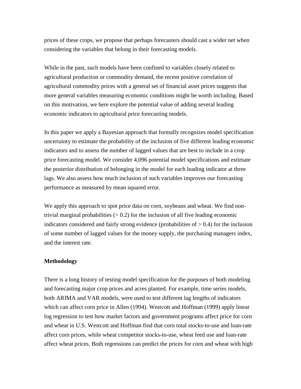prices of these crops, we propose that perhaps forecasters should cast a wider net when considering the variables that belong in their forecasting models.

While in the past, such models have been confined to variables closely related to agricultural production or commodity demand, the recent positive correlation of agricultural commodity prices with a general set of financial asset prices suggests that more general variables measuring economic conditions might be worth including. Based on this motivation, we here explore the potential value of adding several leading economic indicators to agricultural price forecasting models.

In this paper we apply a Bayesian approach that formally recognizes model specification uncertainty to estimate the probability of the inclusion of five different leading economic indicators and to assess the number of lagged values that are best to include in a crop price forecasting model. We consider 4,096 potential model specifications and estimate the posterior distribution of belonging in the model for each leading indicator at three lags. We also assess how much inclusion of such variables improves our forecasting performance as measured by mean squared error.

We apply this approach to spot price data on corn, soybeans and wheat. We find nontrivial marginal probabilities  $(> 0.2)$  for the inclusion of all five leading economic indicators considered and fairly strong evidence (probabilities of  $> 0.4$ ) for the inclusion of some number of lagged values for the money supply, the purchasing managers index, and the interest rate.

### **Methodology**

There is a long history of testing model specification for the purposes of both modeling and forecasting major crop prices and acres planted. For example, time series models, both ARIMA and VAR models, were used to test different lag lengths of indicators which can affect corn price in Allen (1994). Westcott and Hoffman (1999) apply linear log regression to test how market factors and government programs affect price for corn and wheat in U.S. Westcott and Hoffman find that corn total stocks-to-use and loan-rate affect corn prices, while wheat competitor stocks-to-use, wheat feed use and loan-rate affect wheat prices. Both regressions can predict the prices for corn and wheat with high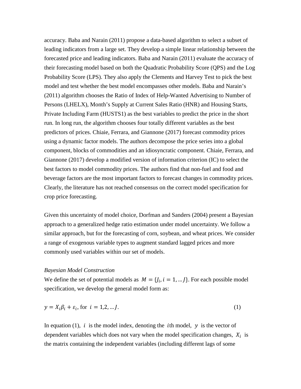accuracy. Baba and Narain (2011) propose a data-based algorithm to select a subset of leading indicators from a large set. They develop a simple linear relationship between the forecasted price and leading indicators. Baba and Narain (2011) evaluate the accuracy of their forecasting model based on both the Quadratic Probability Score (QPS) and the Log Probability Score (LPS). They also apply the Clements and Harvey Test to pick the best model and test whether the best model encompasses other models. Baba and Narain's (2011) algorithm chooses the Ratio of Index of Help-Wanted Advertising to Number of Persons (LHELX), Month's Supply at Current Sales Ratio (HNR) and Housing Starts, Private Including Farm (HUSTS1) as the best variables to predict the price in the short run. In long run, the algorithm chooses four totally different variables as the best predictors of prices. Chiaie, Ferrara, and Giannone (2017) forecast commodity prices using a dynamic factor models. The authors decompose the price series into a global component, blocks of commodities and an idiosyncratic component. Chiaie, Ferrara, and Giannone (2017) develop a modified version of information criterion (IC) to select the best factors to model commodity prices. The authors find that non-fuel and food and beverage factors are the most important factors to forecast changes in commodity prices. Clearly, the literature has not reached consensus on the correct model specification for crop price forecasting.

Given this uncertainty of model choice, Dorfman and Sanders (2004) present a Bayesian approach to a generalized hedge ratio estimation under model uncertainty. We follow a similar approach, but for the forecasting of corn, soybean, and wheat prices. We consider a range of exogenous variable types to augment standard lagged prices and more commonly used variables within our set of models.

#### *Bayesian Model Construction*

We define the set of potential models as  $M = \{j_i, i = 1, ...\}$ . For each possible model specification, we develop the general model form as:

$$
y = X_i \beta_i + \varepsilon_i, \text{ for } i = 1, 2, \dots J. \tag{1}
$$

In equation (1), i is the model index, denoting the ith model,  $y$  is the vector of dependent variables which does not vary when the model specification changes,  $X_i$  is the matrix containing the independent variables (including different lags of some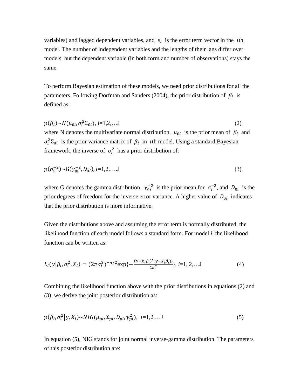variables) and lagged dependent variables, and  $\varepsilon_i$  is the error term vector in the *i*th model. The number of independent variables and the lengths of their lags differ over models, but the dependent variable (in both form and number of observations) stays the same.

To perform Bayesian estimation of these models, we need prior distributions for all the parameters. Following Dorfman and Sanders (2004), the prior distribution of  $\beta_i$  is defined as:

 $p(\beta_i) \sim N(\mu_{0i}, \sigma_i^2 \Sigma_{0i}), i=1,2,...J$  (2) where N denotes the multivariate normal distribution,  $\mu_{0i}$  is the prior mean of  $\beta_i$  and  $\sigma_i^2 \Sigma_{0i}$  is the prior variance matrix of  $\beta_i$  in *i*th model. Using a standard Bayesian framework, the inverse of  $\sigma_i^2$  has a prior distribution of:

$$
p(\sigma_i^{-2}) \sim G(\gamma_{0i}^{-2}, D_{0i}), i = 1, 2, \dots, J
$$
\n(3)

where G denotes the gamma distribution,  $\gamma_{0i}^{-2}$  is the prior mean for  $\sigma_i^{-2}$ , and  $D_{0i}$  is the prior degrees of freedom for the inverse error variance. A higher value of  $D_{0i}$  indicates that the prior distribution is more informative.

Given the distributions above and assuming the error term is normally distributed, the likelihood function of each model follows a standard form. For model *i*, the likelihood function can be written as:

$$
L_i(y|\beta_i, \sigma_i^2, X_i) = (2\pi\sigma_i^2)^{-n/2} \exp\{-\frac{(y - X_i\beta_i)'(y - X_i\beta_i)}{2\sigma_i^2}\}, i=1, 2, \dots J
$$
 (4)

Combining the likelihood function above with the prior distributions in equations (2) and (3), we derive the joint posterior distribution as:

$$
p(\beta_i, \sigma_i^2 | y, X_i) \sim NIG(\mu_{pi}, \Sigma_{pi}, D_{pi}, \gamma_{pi}^2), \ i=1,2,...J
$$
\n
$$
(5)
$$

In equation (5), NIG stands for joint normal inverse-gamma distribution. The parameters of this posterior distribution are: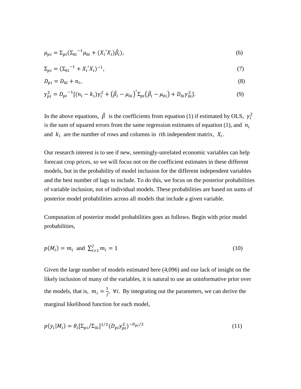$$
\mu_{pi} = \Sigma_{pi} (\Sigma_{0i}^{-1} \mu_{0i} + (X_i' X_i) \hat{\beta}_i), \tag{6}
$$

$$
\Sigma_{pi} = (\Sigma_{0i}^{-1} + X_i' X_i)^{-1},\tag{7}
$$

$$
D_{pi} = D_{0i} + n_i,\tag{8}
$$

$$
\gamma_{pi}^2 = D_{pi}^{-1} [(n_i - k_i)\gamma_i^2 + (\hat{\beta}_i - \mu_{0i})^{\prime} \Sigma_{pi} (\hat{\beta}_i - \mu_{0i}) + D_{0i} \gamma_{0i}^2].
$$
\n(9)

In the above equations,  $\hat{\beta}$  is the coefficients from equation (1) if estimated by OLS,  $\gamma_i^2$ is the sum of squared errors from the same regression estimates of equation (1), and  $n_i$ and  $k_i$  are the number of rows and columns in *i*th independent matrix,  $X_i$ .

Our research interest is to see if new, seemingly-unrelated economic variables can help forecast crop prices, so we will focus not on the coefficient estimates in these different models, but in the probability of model inclusion for the different independent variables and the best number of lags to include. To do this, we focus on the posterior probabilities of variable inclusion, not of individual models. These probabilities are based on sums of posterior model probabilities across all models that include a given variable.

Computation of posterior model probabilities goes as follows. Begin with prior model probabilities,

$$
p(M_i) = m_i \text{ and } \sum_{i=1}^{J} m_i = 1 \tag{10}
$$

Given the large number of models estimated here (4,096) and our lack of insight on the likely inclusion of many of the variables, it is natural to use an uninformative prior over the models, that is,  $m_i = \frac{1}{i}$ ,  $\forall i$ . By integrating out the parameters, we can derive the marginal likelihood function for each model,

$$
p(y_i|M_i) = \theta_i \left[\sum_{pi} / \sum_{0i} \right]^{1/2} (D_{pi} \gamma_{pi}^2)^{-D_{pi}/2}
$$
\n(11)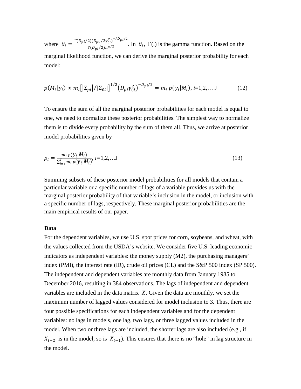where  $\theta_i = \frac{\Gamma(D_{pi}/2)(D_{po}/2\gamma_{0i}^2)^{-1/2}p^{i/2}}{\Gamma(D_{pi}/2)\pi^{n/2}}$ . In  $\theta_i$ ,  $\Gamma(.)$  is the gamma function. Based on the marginal likelihood function, we can derive the marginal posterior probability for each model:

$$
p(M_i|y_i) \propto m_i \left[ \left| \Sigma_{pi} \right| / |\Sigma_{0i}| \right]^{1/2} \left( D_{pi} \gamma_{0i}^2 \right)^{-D_{pi}/2} = m_i \ p(y_i|M_i), i=1,2,... \ J \tag{12}
$$

To ensure the sum of all the marginal posterior probabilities for each model is equal to one, we need to normalize these posterior probabilities. The simplest way to normalize them is to divide every probability by the sum of them all. Thus, we arrive at posterior model probabilities given by

$$
\rho_i = \frac{m_i p(y_i|M_i)}{\sum_{i=1}^{J} m_i p(y_i|M_i)}, \quad i = 1, 2, \dots, J
$$
\n(13)

Summing subsets of these posterior model probabilities for all models that contain a particular variable or a specific number of lags of a variable provides us with the marginal posterior probability of that variable's inclusion in the model, or inclusion with a specific number of lags, respectively. These marginal posterior probabilities are the main empirical results of our paper.

#### **Data**

For the dependent variables, we use U.S. spot prices for corn, soybeans, and wheat, with the values collected from the USDA's website. We consider five U.S. leading economic indicators as independent variables: the money supply (M2), the purchasing managers' index (PMI), the interest rate (IR), crude oil prices (CL) and the S&P 500 index (SP 500). The independent and dependent variables are monthly data from January 1985 to December 2016, resulting in 384 observations. The lags of independent and dependent variables are included in the data matrix  $X$ . Given the data are monthly, we set the maximum number of lagged values considered for model inclusion to 3. Thus, there are four possible specifications for each independent variables and for the dependent variables: no lags in models, one lag, two lags, or three lagged values included in the model. When two or three lags are included, the shorter lags are also included (e.g., if  $X_{t-2}$  is in the model, so is  $X_{t-1}$ ). This ensures that there is no "hole" in lag structure in the model.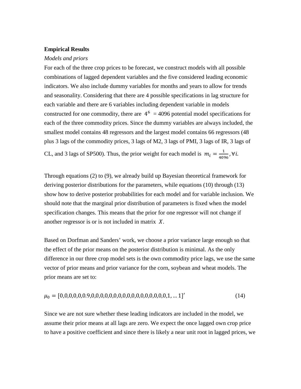#### **Empirical Results**

#### *Models and priors*

For each of the three crop prices to be forecast, we construct models with all possible combinations of lagged dependent variables and the five considered leading economic indicators. We also include dummy variables for months and years to allow for trends and seasonality. Considering that there are 4 possible specifications in lag structure for each variable and there are 6 variables including dependent variable in models constructed for one commodity, there are  $4^6$  = 4096 potential model specifications for each of the three commodity prices. Since the dummy variables are always included, the smallest model contains 48 regressors and the largest model contains 66 regressors (48 plus 3 lags of the commodity prices, 3 lags of M2, 3 lags of PMI, 3 lags of IR, 3 lags of CL, and 3 lags of SP500). Thus, the prior weight for each model is  $m_i = \frac{1}{4096}$ ,  $\forall i$ .

Through equations (2) to (9), we already build up Bayesian theoretical framework for deriving posterior distributions for the parameters, while equations (10) through (13) show how to derive posterior probabilities for each model and for variable inclusion. We should note that the marginal prior distribution of parameters is fixed when the model specification changes. This means that the prior for one regressor will not change if another regressor is or is not included in matrix  $X$ .

Based on Dorfman and Sanders' work, we choose a prior variance large enough so that the effect of the prior means on the posterior distribution is minimal. As the only difference in our three crop model sets is the own commodity price lags, we use the same vector of prior means and prior variance for the corn, soybean and wheat models. The prior means are set to:

0 = [0,0,0,0,0,0.9,0,0,0,0,0,0,0,0,0,0,0,0,0,0,0,0,0,1, … 1] ′ (14)

Since we are not sure whether these leading indicators are included in the model, we assume their prior means at all lags are zero. We expect the once lagged own crop price to have a positive coefficient and since there is likely a near unit root in lagged prices, we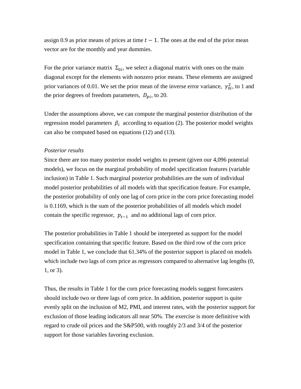assign 0.9 as prior means of prices at time  $t - 1$ . The ones at the end of the prior mean vector are for the monthly and year dummies.

For the prior variance matrix  $\Sigma_{0i}$ , we select a diagonal matrix with ones on the main diagonal except for the elements with nonzero prior means. These elements are assigned prior variances of 0.01. We set the prior mean of the inverse error variance,  $\gamma_{0i}^2$ , to 1 and the prior degrees of freedom parameters,  $D_{pi}$ , to 20.

Under the assumptions above, we can compute the marginal posterior distribution of the regression model parameters  $\beta_i$  according to equation (2). The posterior model weights can also be computed based on equations (12) and (13).

#### *Posterior results*

Since there are too many posterior model weights to present (given our 4,096 potential models), we focus on the marginal probability of model specification features (variable inclusion) in Table 1. Such marginal posterior probabilities are the sum of individual model posterior probabilities of all models with that specification feature. For example, the posterior probability of only one lag of corn price in the corn price forecasting model is 0.1169, which is the sum of the posterior probabilities of all models which model contain the specific regressor,  $p_{t-1}$  and no additional lags of corn price.

The posterior probabilities in Table 1 should be interpreted as support for the model specification containing that specific feature. Based on the third row of the corn price model in Table 1, we conclude that 61.34% of the posterior support is placed on models which include two lags of corn price as regressors compared to alternative lag lengths (0, 1, or 3).

Thus, the results in Table 1 for the corn price forecasting models suggest forecasters should include two or three lags of corn price. In addition, posterior support is quite evenly split on the inclusion of M2, PMI, and interest rates, with the posterior support for exclusion of those leading indicators all near 50%. The exercise is more definitive with regard to crude oil prices and the S&P500, with roughly 2/3 and 3/4 of the posterior support for those variables favoring exclusion.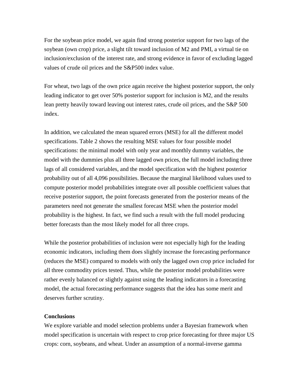For the soybean price model, we again find strong posterior support for two lags of the soybean (own crop) price, a slight tilt toward inclusion of M2 and PMI, a virtual tie on inclusion/exclusion of the interest rate, and strong evidence in favor of excluding lagged values of crude oil prices and the S&P500 index value.

For wheat, two lags of the own price again receive the highest posterior support, the only leading indicator to get over 50% posterior support for inclusion is M2, and the results lean pretty heavily toward leaving out interest rates, crude oil prices, and the S&P 500 index.

In addition, we calculated the mean squared errors (MSE) for all the different model specifications. Table 2 shows the resulting MSE values for four possible model specifications: the minimal model with only year and monthly dummy variables, the model with the dummies plus all three lagged own prices, the full model including three lags of all considered variables, and the model specification with the highest posterior probability out of all 4,096 possibilities. Because the marginal likelihood values used to compute posterior model probabilities integrate over all possible coefficient values that receive posterior support, the point forecasts generated from the posterior means of the parameters need not generate the smallest forecast MSE when the posterior model probability is the highest. In fact, we find such a result with the full model producing better forecasts than the most likely model for all three crops.

While the posterior probabilities of inclusion were not especially high for the leading economic indicators, including them does slightly increase the forecasting performance (reduces the MSE) compared to models with only the lagged own crop price included for all three commodity prices tested. Thus, while the posterior model probabilities were rather evenly balanced or slightly against using the leading indicators in a forecasting model, the actual forecasting performance suggests that the idea has some merit and deserves further scrutiny.

#### **Conclusions**

We explore variable and model selection problems under a Bayesian framework when model specification is uncertain with respect to crop price forecasting for three major US crops: corn, soybeans, and wheat. Under an assumption of a normal-inverse gamma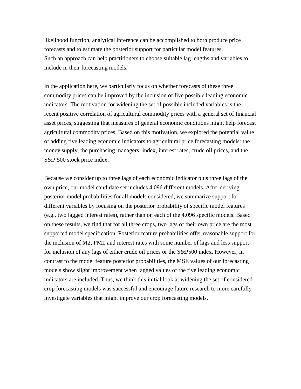likelihood function, analytical inference can be accomplished to both produce price forecasts and to estimate the posterior support for particular model features. Such an approach can help practitioners to choose suitable lag lengths and variables to include in their forecasting models.

In the application here, we particularly focus on whether forecasts of these three commodity prices can be improved by the inclusion of five possible leading economic indicators. The motivation for widening the set of possible included variables is the recent positive correlation of agricultural commodity prices with a general set of financial asset prices, suggesting that measures of general economic conditions might help forecast agricultural commodity prices. Based on this motivation, we explored the potential value of adding five leading economic indicators to agricultural price forecasting models: the money supply, the purchasing managers' index, interest rates, crude oil prices, and the S&P 500 stock price index.

Because we consider up to three lags of each economic indicator plus three lags of the own price, our model candidate set includes 4,096 different models. After deriving posterior model probabilities for all models considered, we summarize support for different variables by focusing on the posterior probability of specific model features (e.g., two lagged interest rates), rather than on each of the 4,096 specific models. Based on these results, we find that for all three crops, two lags of their own price are the most supported model specification. Posterior feature probabilities offer reasonable support for the inclusion of M2, PMI, and interest rates with some number of lags and less support for inclusion of any lags of either crude oil prices or the S&P500 index. However, in contrast to the model feature posterior probabilities, the MSE values of our forecasting models show slight improvement when lagged values of the five leading economic indicators are included. Thus, we think this initial look at widening the set of considered crop forecasting models was successful and encourage future research to more carefully investigate variables that might improve our crop forecasting models.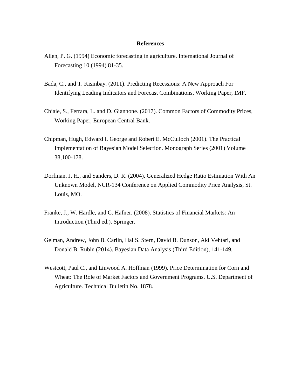#### **References**

- Allen, P. G. (1994) Economic forecasting in agriculture. International Journal of Forecasting 10 (1994) 81-35.
- Bada, C., and T. Kisinbay. (2011). Predicting Recessions: A New Approach For Identifying Leading Indicators and Forecast Combinations, Working Paper, IMF.
- Chiaie, S., Ferrara, L. and D. Giannone. (2017). Common Factors of Commodity Prices, Working Paper, European Central Bank.
- Chipman, Hugh, Edward I. George and Robert E. McCulloch (2001). The Practical Implementation of Bayesian Model Selection. Monograph Series (2001) Volume 38,100-178.
- Dorfman, J. H., and Sanders, D. R. (2004). Generalized Hedge Ratio Estimation With An Unknown Model, NCR-134 Conference on Applied Commodity Price Analysis, St. Louis, MO.
- Franke, J., W. Härdle, and C. Hafner. (2008). Statistics of Financial Markets: An Introduction (Third ed.). Springer.
- Gelman, Andrew, John B. Carlin, Hal S. Stern, David B. Dunson, Aki Vehtari, and Donald B. Rubin (2014). Bayesian Data Analysis (Third Edition), 141-149.
- Westcott, Paul C., and Linwood A. Hoffman (1999). Price Determination for Corn and Wheat: The Role of Market Factors and Government Programs. U.S. Department of Agriculture. Technical Bulletin No. 1878.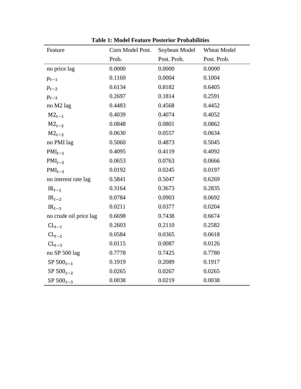| Feature                | Corn Model Post. | Soybean Model | Wheat Model |
|------------------------|------------------|---------------|-------------|
|                        | Prob.            | Post. Prob.   | Post. Prob. |
| no price lag           | 0.0000           | 0.0000        | 0.0000      |
| $p_{t-1}$              | 0.1169           | 0.0004        | 0.1004      |
| $p_{t-2}$              | 0.6134           | 0.8182        | 0.6405      |
| $p_{t-3}$              | 0.2697           | 0.1814        | 0.2591      |
| no M2 lag              | 0.4483           | 0.4568        | 0.4452      |
| $M2_{t-1}$             | 0.4039           | 0.4074        | 0.4052      |
| $M2_{t-2}$             | 0.0848           | 0.0801        | 0.0862      |
| $M2_{t-3}$             | 0.0630           | 0.0557        | 0.0634      |
| no PMI lag             | 0.5060           | 0.4873        | 0.5045      |
| $PMI_{t-1}$            | 0.4095           | 0.4119        | 0.4092      |
| $PMI_{t-2}$            | 0.0653           | 0.0763        | 0.0666      |
| $PMI_{t-3}$            | 0.0192           | 0.0245        | 0.0197      |
| no interest rate lag   | 0.5841           | 0.5047        | 0.6269      |
| $IR_{t-1}$             | 0.3164           | 0.3673        | 0.2835      |
| $IR_{t-2}$             | 0.0784           | 0.0903        | 0.0692      |
| $IR_{t-3}$             | 0.0211           | 0.0377        | 0.0204      |
| no crude oil price lag | 0.6698           | 0.7438        | 0.6674      |
| $CL_{t-1}$             | 0.2603           | 0.2110        | 0.2582      |
| $CL_{t-2}$             | 0.0584           | 0.0365        | 0.0618      |
| $CL_{t-3}$             | 0.0115           | 0.0087        | 0.0126      |
| no SP 500 lag          | 0.7778           | 0.7425        | 0.7780      |
| SP $500_{t-1}$         | 0.1919           | 0.2089        | 0.1917      |
| SP $500_{t-2}$         | 0.0265           | 0.0267        | 0.0265      |
| SP $500_{t-3}$         | 0.0038           | 0.0219        | 0.0038      |

**Table 1: Model Feature Posterior Probabilities**